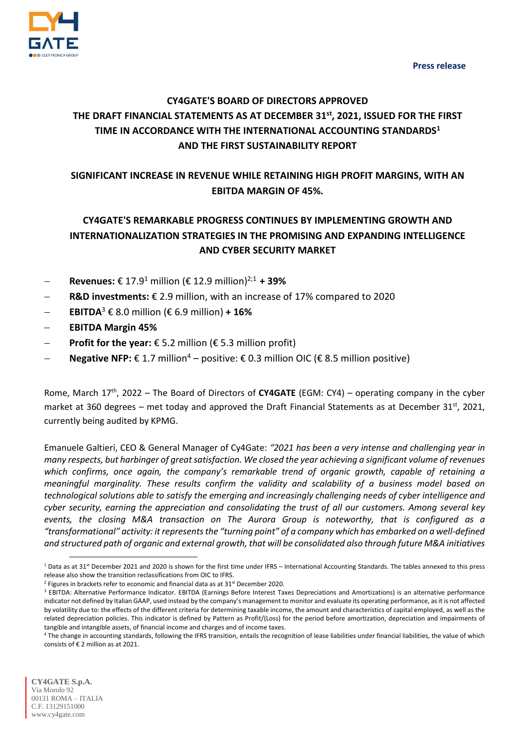**Press release**



# **CY4GATE'S BOARD OF DIRECTORS APPROVED THE DRAFT FINANCIAL STATEMENTS AS AT DECEMBER 31st , 2021, ISSUED FOR THE FIRST TIME IN ACCORDANCE WITH THE INTERNATIONAL ACCOUNTING STANDARDS<sup>1</sup> AND THE FIRST SUSTAINABILITY REPORT**

# **SIGNIFICANT INCREASE IN REVENUE WHILE RETAINING HIGH PROFIT MARGINS, WITH AN EBITDA MARGIN OF 45%.**

# **CY4GATE'S REMARKABLE PROGRESS CONTINUES BY IMPLEMENTING GROWTH AND INTERNATIONALIZATION STRATEGIES IN THE PROMISING AND EXPANDING INTELLIGENCE AND CYBER SECURITY MARKET**

- **Revenues:** € 17.9 <sup>1</sup> million (€ 12.9 million) 2;1 **+ 39%**
- **R&D investments:** € 2.9 million, with an increase of 17% compared to 2020
- **EBITDA**<sup>3</sup> € 8.0 million (€ 6.9 million) + 16%
- **EBITDA Margin 45%**
- **Profit for the year:** € 5.2 million (€ 5.3 million profit)
- **Negative NFP:**  $\epsilon$  1.7 million<sup>4</sup> positive:  $\epsilon$  0.3 million OIC ( $\epsilon$  8.5 million positive)

Rome, March 17<sup>th</sup>, 2022 – The Board of Directors of CY4GATE (EGM: CY4) – operating company in the cyber market at 360 degrees – met today and approved the Draft Financial Statements as at December 31<sup>st</sup>, 2021, currently being audited by KPMG.

Emanuele Galtieri, CEO & General Manager of Cy4Gate: *"2021 has been a very intense and challenging year in many respects, but harbinger of great satisfaction. We closed the year achieving a significant volume of revenues which confirms, once again, the company's remarkable trend of organic growth, capable of retaining a meaningful marginality. These results confirm the validity and scalability of a business model based on technological solutions able to satisfy the emerging and increasingly challenging needs of cyber intelligence and cyber security, earning the appreciation and consolidating the trust of all our customers. Among several key events, the closing M&A transaction on The Aurora Group is noteworthy, that is configured as a "transformational" activity: it representsthe "turning point" of a company which has embarked on a well-defined and structured path of organic and external growth, that will be consolidated also through future M&A initiatives* 

1

<sup>&</sup>lt;sup>1</sup> Data as at 31<sup>st</sup> December 2021 and 2020 is shown for the first time under IFRS – International Accounting Standards. The tables annexed to this press release also show the transition reclassifications from OIC to IFRS.

 $2$  Figures in brackets refer to economic and financial data as at 31st December 2020.

<sup>&</sup>lt;sup>3</sup> EBITDA: Alternative Performance Indicator. EBITDA (Earnings Before Interest Taxes Depreciations and Amortizations) is an alternative performance indicator not defined by Italian GAAP, used instead by the company's management to monitor and evaluate its operating performance, as it is not affected by volatility due to: the effects of the different criteria for determining taxable income, the amount and characteristics of capital employed, as well as the related depreciation policies. This indicator is defined by Pattern as Profit/(Loss) for the period before amortization, depreciation and impairments of tangible and intangible assets, of financial income and charges and of income taxes.

<sup>&</sup>lt;sup>4</sup> The change in accounting standards, following the IFRS transition, entails the recognition of lease liabilities under financial liabilities, the value of which consists of € 2 million as at 2021.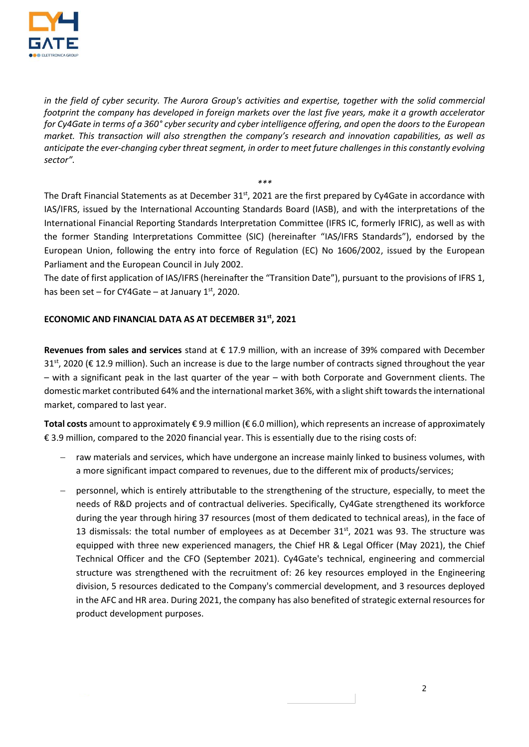

*in the field of cyber security. The Aurora Group's activities and expertise, together with the solid commercial footprint the company has developed in foreign markets over the last five years, make it a growth accelerator for Cy4Gate in terms of a 360° cyber security and cyber intelligence offering, and open the doors to the European market. This transaction will also strengthen the company's research and innovation capabilities, as well as anticipate the ever-changing cyber threat segment, in order to meet future challenges in this constantly evolving sector".*

The Draft Financial Statements as at December 31 $^{\rm st}$ , 2021 are the first prepared by Cy4Gate in accordance with IAS/IFRS, issued by the International Accounting Standards Board (IASB), and with the interpretations of the International Financial Reporting Standards Interpretation Committee (IFRS IC, formerly IFRIC), as well as with the former Standing Interpretations Committee (SIC) (hereinafter "IAS/IFRS Standards"), endorsed by the European Union, following the entry into force of Regulation (EC) No 1606/2002, issued by the European Parliament and the European Council in July 2002.

*\*\*\**

The date of first application of IAS/IFRS (hereinafter the "Transition Date"), pursuant to the provisions of IFRS 1, has been set – for CY4Gate – at January 1st, 2020.

## **ECONOMIC AND FINANCIAL DATA AS AT DECEMBER 31st , 2021**

**Revenues from sales and services** stand at € 17.9 million, with an increase of 39% compared with December 31<sup>st</sup>, 2020 (€ 12.9 million). Such an increase is due to the large number of contracts signed throughout the year – with a significant peak in the last quarter of the year – with both Corporate and Government clients. The domestic market contributed 64% and the international market 36%, with a slight shift towards the international market, compared to last year.

**Total costs** amount to approximately € 9.9 million (€ 6.0 million), which represents an increase of approximately € 3.9 million, compared to the 2020 financial year. This is essentially due to the rising costs of:

- raw materials and services, which have undergone an increase mainly linked to business volumes, with a more significant impact compared to revenues, due to the different mix of products/services;
- personnel, which is entirely attributable to the strengthening of the structure, especially, to meet the needs of R&D projects and of contractual deliveries. Specifically, Cy4Gate strengthened its workforce during the year through hiring 37 resources (most of them dedicated to technical areas), in the face of 13 dismissals: the total number of employees as at December  $31<sup>st</sup>$ , 2021 was 93. The structure was equipped with three new experienced managers, the Chief HR & Legal Officer (May 2021), the Chief Technical Officer and the CFO (September 2021). Cy4Gate's technical, engineering and commercial structure was strengthened with the recruitment of: 26 key resources employed in the Engineering division, 5 resources dedicated to the Company's commercial development, and 3 resources deployed in the AFC and HR area. During 2021, the company has also benefited of strategic external resources for product development purposes.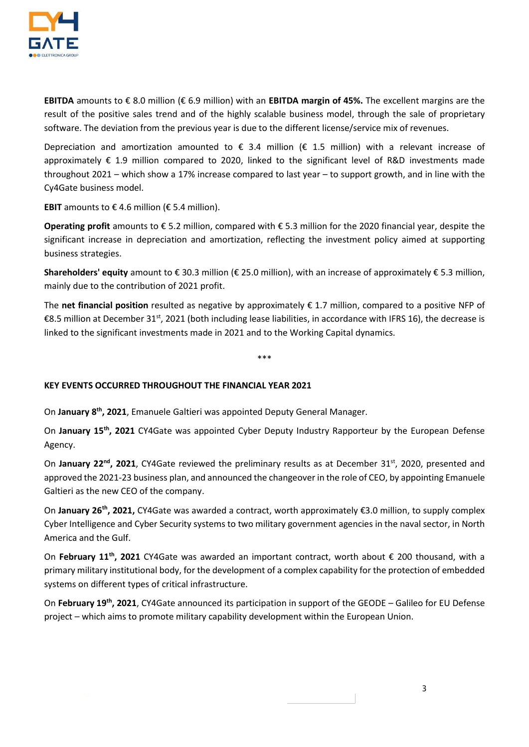

**EBITDA** amounts to € 8.0 million (€ 6.9 million) with an **EBITDA margin of 45%.** The excellent margins are the result of the positive sales trend and of the highly scalable business model, through the sale of proprietary software. The deviation from the previous year is due to the different license/service mix of revenues.

Depreciation and amortization amounted to  $\epsilon$  3.4 million ( $\epsilon$  1.5 million) with a relevant increase of approximately € 1.9 million compared to 2020, linked to the significant level of R&D investments made throughout 2021 – which show a 17% increase compared to last year – to support growth, and in line with the Cy4Gate business model.

**EBIT** amounts to  $\epsilon$  4.6 million ( $\epsilon$  5.4 million).

**Operating profit** amounts to € 5.2 million, compared with € 5.3 million for the 2020 financial year, despite the significant increase in depreciation and amortization, reflecting the investment policy aimed at supporting business strategies.

**Shareholders' equity** amount to € 30.3 million (€ 25.0 million), with an increase of approximately € 5.3 million, mainly due to the contribution of 2021 profit.

The **net financial position** resulted as negative by approximately € 1.7 million, compared to a positive NFP of €8.5 million at December 31<sup>st</sup>, 2021 (both including lease liabilities, in accordance with IFRS 16), the decrease is linked to the significant investments made in 2021 and to the Working Capital dynamics.

\*\*\*

## **KEY EVENTS OCCURRED THROUGHOUT THE FINANCIAL YEAR 2021**

On **January 8 th , 2021**, Emanuele Galtieri was appointed Deputy General Manager.

On **January 15th , 2021** CY4Gate was appointed Cyber Deputy Industry Rapporteur by the European Defense Agency.

On January 22<sup>nd</sup>, 2021, CY4Gate reviewed the preliminary results as at December 31<sup>st</sup>, 2020, presented and approved the 2021-23 business plan, and announced the changeover in the role of CEO, by appointing Emanuele Galtieri as the new CEO of the company.

On **January 26th, 2021,** CY4Gate was awarded a contract, worth approximately €3.0 million, to supply complex Cyber Intelligence and Cyber Security systems to two military government agencies in the naval sector, in North America and the Gulf.

On **February 11th, 2021** CY4Gate was awarded an important contract, worth about € 200 thousand, with a primary military institutional body, for the development of a complex capability for the protection of embedded systems on different types of critical infrastructure.

On **February 19th, 2021**, CY4Gate announced its participation in support of the GEODE – Galileo for EU Defense project – which aims to promote military capability development within the European Union.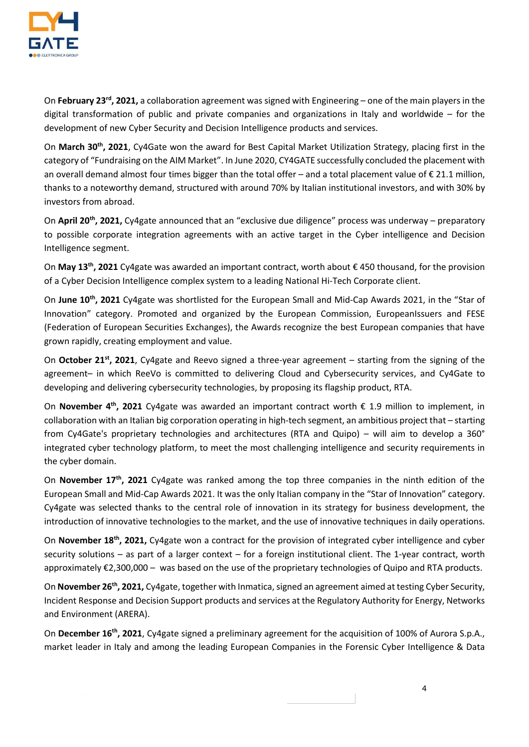

On **February 23rd, 2021,** a collaboration agreement was signed with Engineering – one of the main players in the digital transformation of public and private companies and organizations in Italy and worldwide – for the development of new Cyber Security and Decision Intelligence products and services.

On **March 30th, 2021**, Cy4Gate won the award for Best Capital Market Utilization Strategy, placing first in the category of "Fundraising on the AIM Market". In June 2020, CY4GATE successfully concluded the placement with an overall demand almost four times bigger than the total offer – and a total placement value of  $\epsilon$  21.1 million, thanks to a noteworthy demand, structured with around 70% by Italian institutional investors, and with 30% by investors from abroad.

On **April 20th, 2021,** Cy4gate announced that an "exclusive due diligence" process was underway – preparatory to possible corporate integration agreements with an active target in the Cyber intelligence and Decision Intelligence segment.

On **May 13th, 2021** Cy4gate was awarded an important contract, worth about € 450 thousand, for the provision of a Cyber Decision Intelligence complex system to a leading National Hi-Tech Corporate client.

On **June 10th, 2021** Cy4gate was shortlisted for the European Small and Mid-Cap Awards 2021, in the "Star of Innovation" category. Promoted and organized by the European Commission, EuropeanIssuers and FESE (Federation of European Securities Exchanges), the Awards recognize the best European companies that have grown rapidly, creating employment and value.

On **October 21st, 2021**, Cy4gate and Reevo signed a three-year agreement – starting from the signing of the agreement– in which ReeVo is committed to delivering Cloud and Cybersecurity services, and Cy4Gate to developing and delivering cybersecurity technologies, by proposing its flagship product, RTA.

On **November 4th, 2021** Cy4gate was awarded an important contract worth € 1.9 million to implement, in collaboration with an Italian big corporation operating in high-tech segment, an ambitious project that – starting from Cy4Gate's proprietary technologies and architectures (RTA and Quipo) – will aim to develop a 360° integrated cyber technology platform, to meet the most challenging intelligence and security requirements in the cyber domain.

On **November 17th, 2021** Cy4gate was ranked among the top three companies in the ninth edition of the European Small and Mid-Cap Awards 2021. It was the only Italian company in the "Star of Innovation" category. Cy4gate was selected thanks to the central role of innovation in its strategy for business development, the introduction of innovative technologies to the market, and the use of innovative techniques in daily operations.

On **November 18th, 2021,** Cy4gate won a contract for the provision of integrated cyber intelligence and cyber security solutions – as part of a larger context – for a foreign institutional client. The 1-year contract, worth approximately €2,300,000 – was based on the use of the proprietary technologies of Quipo and RTA products.

On **November 26th, 2021,** Cy4gate, together with Inmatica, signed an agreement aimed at testing Cyber Security, Incident Response and Decision Support products and services at the Regulatory Authority for Energy, Networks and Environment (ARERA).

On **December 16th, 2021**, Cy4gate signed a preliminary agreement for the acquisition of 100% of Aurora S.p.A., market leader in Italy and among the leading European Companies in the Forensic Cyber Intelligence & Data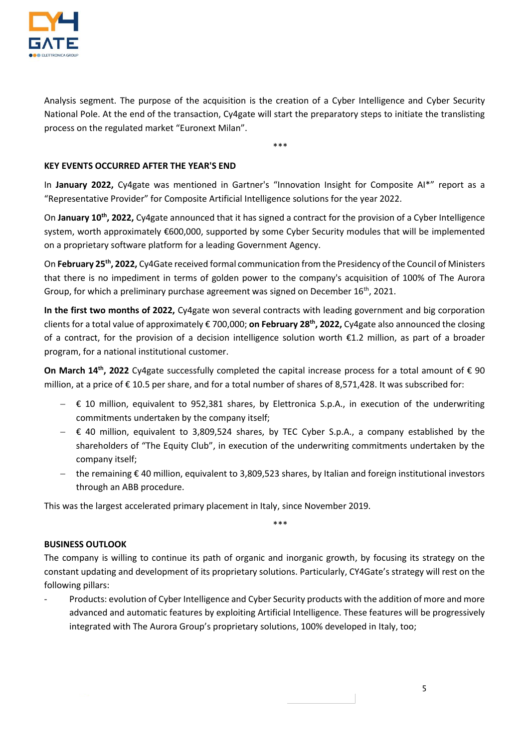

Analysis segment. The purpose of the acquisition is the creation of a Cyber Intelligence and Cyber Security National Pole. At the end of the transaction, Cy4gate will start the preparatory steps to initiate the translisting process on the regulated market "Euronext Milan".

\*\*\*

## **KEY EVENTS OCCURRED AFTER THE YEAR'S END**

In **January 2022,** Cy4gate was mentioned in Gartner's "Innovation Insight for Composite AI\*" report as a "Representative Provider" for Composite Artificial Intelligence solutions for the year 2022.

On **January 10th, 2022,** Cy4gate announced that it has signed a contract for the provision of a Cyber Intelligence system, worth approximately €600,000, supported by some Cyber Security modules that will be implemented on a proprietary software platform for a leading Government Agency.

On **February 25th, 2022,** Cy4Gate received formal communication from the Presidency of the Council of Ministers that there is no impediment in terms of golden power to the company's acquisition of 100% of The Aurora Group, for which a preliminary purchase agreement was signed on December  $16<sup>th</sup>$ , 2021.

**In the first two months of 2022,** Cy4gate won several contracts with leading government and big corporation clients for a total value of approximately € 700,000; **on February 28th, 2022,** Cy4gate also announced the closing of a contract, for the provision of a decision intelligence solution worth €1.2 million, as part of a broader program, for a national institutional customer.

**On March 14th, 2022** Cy4gate successfully completed the capital increase process for a total amount of € 90 million, at a price of € 10.5 per share, and for a total number of shares of 8,571,428. It was subscribed for:

- $\epsilon$  10 million, equivalent to 952,381 shares, by Elettronica S.p.A., in execution of the underwriting commitments undertaken by the company itself;
- € 40 million, equivalent to 3,809,524 shares, by TEC Cyber S.p.A., a company established by the shareholders of "The Equity Club", in execution of the underwriting commitments undertaken by the company itself;
- the remaining € 40 million, equivalent to 3,809,523 shares, by Italian and foreign institutional investors through an ABB procedure.

\*\*\*

This was the largest accelerated primary placement in Italy, since November 2019.

## **BUSINESS OUTLOOK**

The company is willing to continue its path of organic and inorganic growth, by focusing its strategy on the constant updating and development of its proprietary solutions. Particularly, CY4Gate's strategy will rest on the following pillars:

Products: evolution of Cyber Intelligence and Cyber Security products with the addition of more and more advanced and automatic features by exploiting Artificial Intelligence. These features will be progressively integrated with The Aurora Group's proprietary solutions, 100% developed in Italy, too;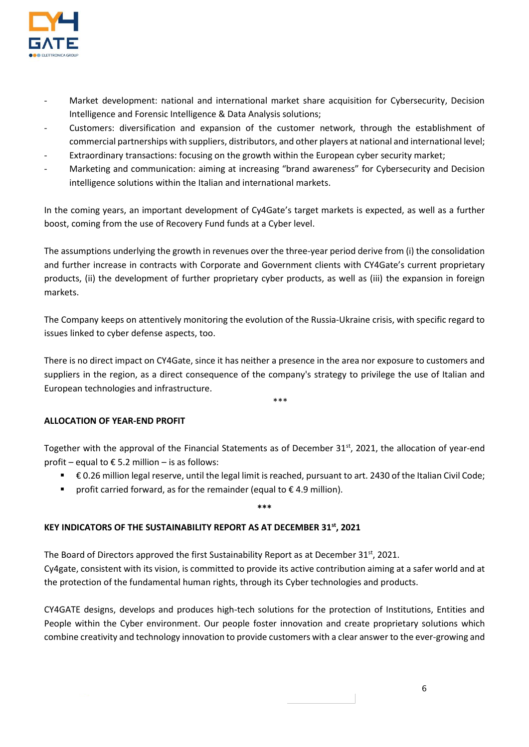

- Market development: national and international market share acquisition for Cybersecurity, Decision Intelligence and Forensic Intelligence & Data Analysis solutions;
- Customers: diversification and expansion of the customer network, through the establishment of commercial partnerships with suppliers, distributors, and other players at national and international level;
- Extraordinary transactions: focusing on the growth within the European cyber security market;
- Marketing and communication: aiming at increasing "brand awareness" for Cybersecurity and Decision intelligence solutions within the Italian and international markets.

In the coming years, an important development of Cy4Gate's target markets is expected, as well as a further boost, coming from the use of Recovery Fund funds at a Cyber level.

The assumptions underlying the growth in revenues over the three-year period derive from (i) the consolidation and further increase in contracts with Corporate and Government clients with CY4Gate's current proprietary products, (ii) the development of further proprietary cyber products, as well as (iii) the expansion in foreign markets.

The Company keeps on attentively monitoring the evolution of the Russia-Ukraine crisis, with specific regard to issues linked to cyber defense aspects, too.

There is no direct impact on CY4Gate, since it has neither a presence in the area nor exposure to customers and suppliers in the region, as a direct consequence of the company's strategy to privilege the use of Italian and European technologies and infrastructure.

\*\*\*

## **ALLOCATION OF YEAR-END PROFIT**

Together with the approval of the Financial Statements as of December  $31^{st}$ , 2021, the allocation of year-end profit – equal to  $\epsilon$  5.2 million – is as follows:

- € 0.26 million legal reserve, until the legal limit is reached, pursuant to art. 2430 of the Italian Civil Code;
- profit carried forward, as for the remainder (equal to  $\epsilon$  4.9 million).

## **\*\*\***

## **KEY INDICATORS OF THE SUSTAINABILITY REPORT AS AT DECEMBER 31st , 2021**

The Board of Directors approved the first Sustainability Report as at December 31st, 2021. Cy4gate, consistent with its vision, is committed to provide its active contribution aiming at a safer world and at the protection of the fundamental human rights, through its Cyber technologies and products.

CY4GATE designs, develops and produces high-tech solutions for the protection of Institutions, Entities and People within the Cyber environment. Our people foster innovation and create proprietary solutions which combine creativity and technology innovation to provide customers with a clear answer to the ever-growing and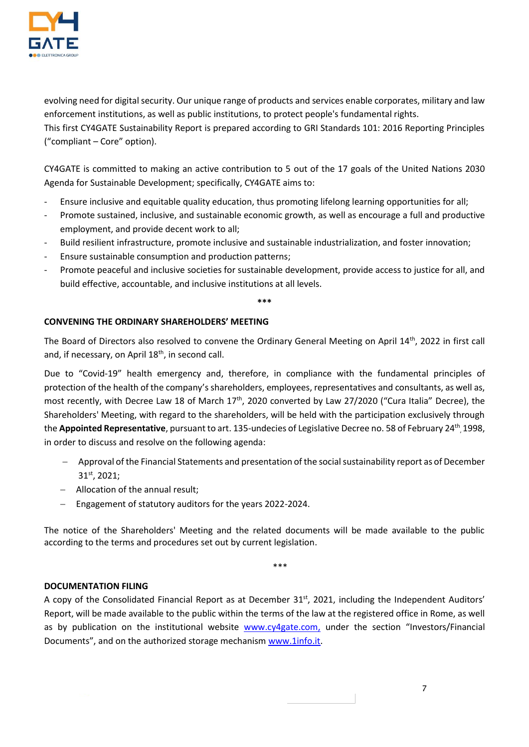

evolving need for digital security. Our unique range of products and services enable corporates, military and law enforcement institutions, as well as public institutions, to protect people's fundamental rights. This first CY4GATE Sustainability Report is prepared according to GRI Standards 101: 2016 Reporting Principles ("compliant – Core" option).

CY4GATE is committed to making an active contribution to 5 out of the 17 goals of the United Nations 2030 Agenda for Sustainable Development; specifically, CY4GATE aims to:

- Ensure inclusive and equitable quality education, thus promoting lifelong learning opportunities for all;
- Promote sustained, inclusive, and sustainable economic growth, as well as encourage a full and productive employment, and provide decent work to all;
- Build resilient infrastructure, promote inclusive and sustainable industrialization, and foster innovation;
- Ensure sustainable consumption and production patterns;
- Promote peaceful and inclusive societies for sustainable development, provide access to justice for all, and build effective, accountable, and inclusive institutions at all levels.

**\*\*\***

## **CONVENING THE ORDINARY SHAREHOLDERS' MEETING**

The Board of Directors also resolved to convene the Ordinary General Meeting on April 14th, 2022 in first call and, if necessary, on April 18<sup>th</sup>, in second call.

Due to "Covid-19" health emergency and, therefore, in compliance with the fundamental principles of protection of the health of the company's shareholders, employees, representatives and consultants, as well as, most recently, with Decree Law 18 of March 17<sup>th</sup>, 2020 converted by Law 27/2020 ("Cura Italia" Decree), the Shareholders' Meeting, with regard to the shareholders, will be held with the participation exclusively through the **Appointed Representative**, pursuant to art. 135-undecies of Legislative Decree no. 58 of February 24<sup>th</sup>, 1998, in order to discuss and resolve on the following agenda:

- Approval of the Financial Statements and presentation of the social sustainability report as of December 31st, 2021;
- Allocation of the annual result;
- Engagement of statutory auditors for the years 2022-2024.

The notice of the Shareholders' Meeting and the related documents will be made available to the public according to the terms and procedures set out by current legislation.

\*\*\*

## **DOCUMENTATION FILING**

A copy of the Consolidated Financial Report as at December 31<sup>st</sup>, 2021, including the Independent Auditors' Report, will be made available to the public within the terms of the law at the registered office in Rome, as well as by publication on the institutional website [www.cy4gate.com,](http://www.cy4gate.com/) under the section "Investors/Financial Documents", and on the authorized storage mechanism [www.1info.it.](http://www.1info.it/)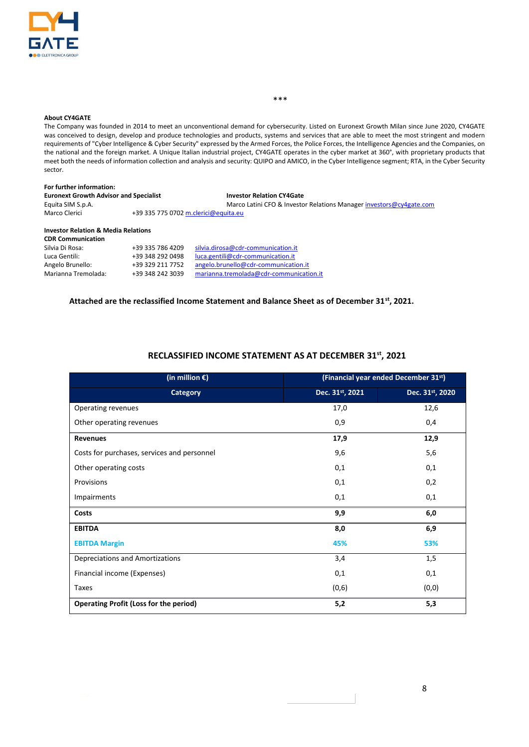

#### \*\*\*

#### **About CY4GATE**

The Company was founded in 2014 to meet an unconventional demand for cybersecurity. Listed on Euronext Growth Milan since June 2020, CY4GATE was conceived to design, develop and produce technologies and products, systems and services that are able to meet the most stringent and modern requirements of "Cyber Intelligence & Cyber Security" expressed by the Armed Forces, the Police Forces, the Intelligence Agencies and the Companies, on the national and the foreign market. A Unique Italian industrial project, CY4GATE operates in the cyber market at 360°, with proprietary products that meet both the needs of information collection and analysis and security: QUIPO and AMICO, in the Cyber Intelligence segment; RTA, in the Cyber Security sector.

| For further information:                       |                  |                                                                     |  |  |  |  |
|------------------------------------------------|------------------|---------------------------------------------------------------------|--|--|--|--|
| <b>Euronext Growth Advisor and Specialist</b>  |                  | <b>Investor Relation CY4Gate</b>                                    |  |  |  |  |
| Equita SIM S.p.A.                              |                  | Marco Latini CFO & Investor Relations Manager investors@cy4gate.com |  |  |  |  |
| Marco Clerici                                  |                  | +39 335 775 0702 m.clerici@equita.eu                                |  |  |  |  |
| <b>Investor Relation &amp; Media Relations</b> |                  |                                                                     |  |  |  |  |
| <b>CDR Communication</b>                       |                  |                                                                     |  |  |  |  |
| Silvia Di Rosa:                                | +39 335 786 4209 | silvia.dirosa@cdr-communication.it                                  |  |  |  |  |
| Luca Gentili:                                  | +39 348 292 0498 | luca.gentili@cdr-communication.it                                   |  |  |  |  |
| Angelo Brunello:                               | +39 329 211 7752 | angelo.brunello@cdr-communication.it                                |  |  |  |  |
| Marianna Tremolada:                            | +39 348 242 3039 | marianna.tremolada@cdr-communication.it                             |  |  |  |  |

#### **Attached are the reclassified Income Statement and Balance Sheet as of December 31st, 2021.**

#### **RECLASSIFIED INCOME STATEMENT AS AT DECEMBER 31st , 2021**

| (in million $\epsilon$ )                      | (Financial year ended December 31st) |                 |
|-----------------------------------------------|--------------------------------------|-----------------|
| Category                                      | Dec. 31 <sup>st</sup> , 2021         | Dec. 31st, 2020 |
| Operating revenues                            | 17,0                                 | 12,6            |
| Other operating revenues                      | 0,9                                  | 0,4             |
| <b>Revenues</b>                               | 17,9                                 | 12,9            |
| Costs for purchases, services and personnel   | 9,6                                  | 5,6             |
| Other operating costs                         | 0,1                                  | 0,1             |
| Provisions                                    | 0,1                                  | 0,2             |
| Impairments                                   | 0,1                                  | 0,1             |
| Costs                                         | 9,9                                  | 6,0             |
| <b>EBITDA</b>                                 | 8,0                                  | 6,9             |
| <b>EBITDA Margin</b>                          | 45%                                  | 53%             |
| Depreciations and Amortizations               | 3,4                                  | 1,5             |
| Financial income (Expenses)                   | 0,1                                  | 0,1             |
| Taxes                                         | (0, 6)                               | (0, 0)          |
| <b>Operating Profit (Loss for the period)</b> | 5,2                                  | 5,3             |